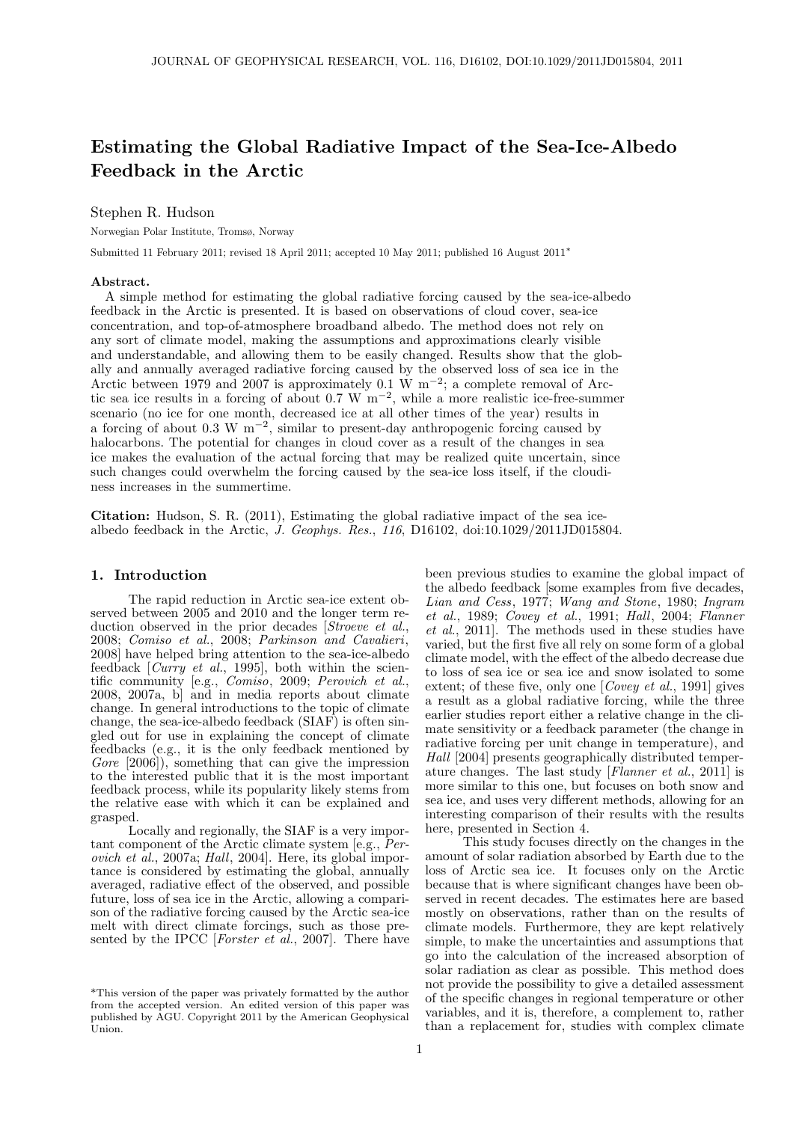# Estimating the Global Radiative Impact of the Sea-Ice-Albedo Feedback in the Arctic

## Stephen R. Hudson

Norwegian Polar Institute, Tromsø, Norway

Submitted 11 February 2011; revised 18 April 2011; accepted 10 May 2011; published 16 August 2011<sup>∗</sup>

#### Abstract.

A simple method for estimating the global radiative forcing caused by the sea-ice-albedo feedback in the Arctic is presented. It is based on observations of cloud cover, sea-ice concentration, and top-of-atmosphere broadband albedo. The method does not rely on any sort of climate model, making the assumptions and approximations clearly visible and understandable, and allowing them to be easily changed. Results show that the globally and annually averaged radiative forcing caused by the observed loss of sea ice in the Arctic between 1979 and 2007 is approximately 0.1 W m<sup>-2</sup>; a complete removal of Arctic sea ice results in a forcing of about 0.7 W  $\text{m}^{-2}$ , while a more realistic ice-free-summer scenario (no ice for one month, decreased ice at all other times of the year) results in a forcing of about 0.3 W m<sup>-2</sup>, similar to present-day anthropogenic forcing caused by halocarbons. The potential for changes in cloud cover as a result of the changes in sea ice makes the evaluation of the actual forcing that may be realized quite uncertain, since such changes could overwhelm the forcing caused by the sea-ice loss itself, if the cloudiness increases in the summertime.

Citation: Hudson, S. R. (2011), Estimating the global radiative impact of the sea icealbedo feedback in the Arctic, J. Geophys. Res., 116, D16102, doi:10.1029/2011JD015804.

## 1. Introduction

The rapid reduction in Arctic sea-ice extent observed between 2005 and 2010 and the longer term reduction observed in the prior decades *Stroeve et al.*, 2008; Comiso et al., 2008; Parkinson and Cavalieri, 2008] have helped bring attention to the sea-ice-albedo feedback  $[Curry et al., 1995]$ , both within the scientific community [e.g., Comiso, 2009; Perovich et al., 2008, 2007a, b] and in media reports about climate change. In general introductions to the topic of climate change, the sea-ice-albedo feedback (SIAF) is often singled out for use in explaining the concept of climate feedbacks (e.g., it is the only feedback mentioned by Gore  $[2006]$ , something that can give the impression to the interested public that it is the most important feedback process, while its popularity likely stems from the relative ease with which it can be explained and grasped.

Locally and regionally, the SIAF is a very important component of the Arctic climate system [e.g., Perovich et al., 2007a; Hall, 2004]. Here, its global importance is considered by estimating the global, annually averaged, radiative effect of the observed, and possible future, loss of sea ice in the Arctic, allowing a comparison of the radiative forcing caused by the Arctic sea-ice melt with direct climate forcings, such as those presented by the IPCC [Forster et  $\check{a}l$ , 2007]. There have

been previous studies to examine the global impact of the albedo feedback [some examples from five decades, Lian and Cess, 1977; Wang and Stone, 1980; Ingram et al., 1989; Covey et al., 1991; Hall, 2004; Flanner et al., 2011]. The methods used in these studies have varied, but the first five all rely on some form of a global climate model, with the effect of the albedo decrease due to loss of sea ice or sea ice and snow isolated to some extent; of these five, only one  $[Covey \ et \ al., 1991]$  gives a result as a global radiative forcing, while the three earlier studies report either a relative change in the climate sensitivity or a feedback parameter (the change in radiative forcing per unit change in temperature), and Hall [2004] presents geographically distributed temperature changes. The last study [Flanner et al., 2011] is more similar to this one, but focuses on both snow and sea ice, and uses very different methods, allowing for an interesting comparison of their results with the results here, presented in Section 4.

This study focuses directly on the changes in the amount of solar radiation absorbed by Earth due to the loss of Arctic sea ice. It focuses only on the Arctic because that is where significant changes have been observed in recent decades. The estimates here are based mostly on observations, rather than on the results of climate models. Furthermore, they are kept relatively simple, to make the uncertainties and assumptions that go into the calculation of the increased absorption of solar radiation as clear as possible. This method does not provide the possibility to give a detailed assessment of the specific changes in regional temperature or other variables, and it is, therefore, a complement to, rather than a replacement for, studies with complex climate

<sup>\*</sup>This version of the paper was privately formatted by the author from the accepted version. An edited version of this paper was published by AGU. Copyright 2011 by the American Geophysical Union.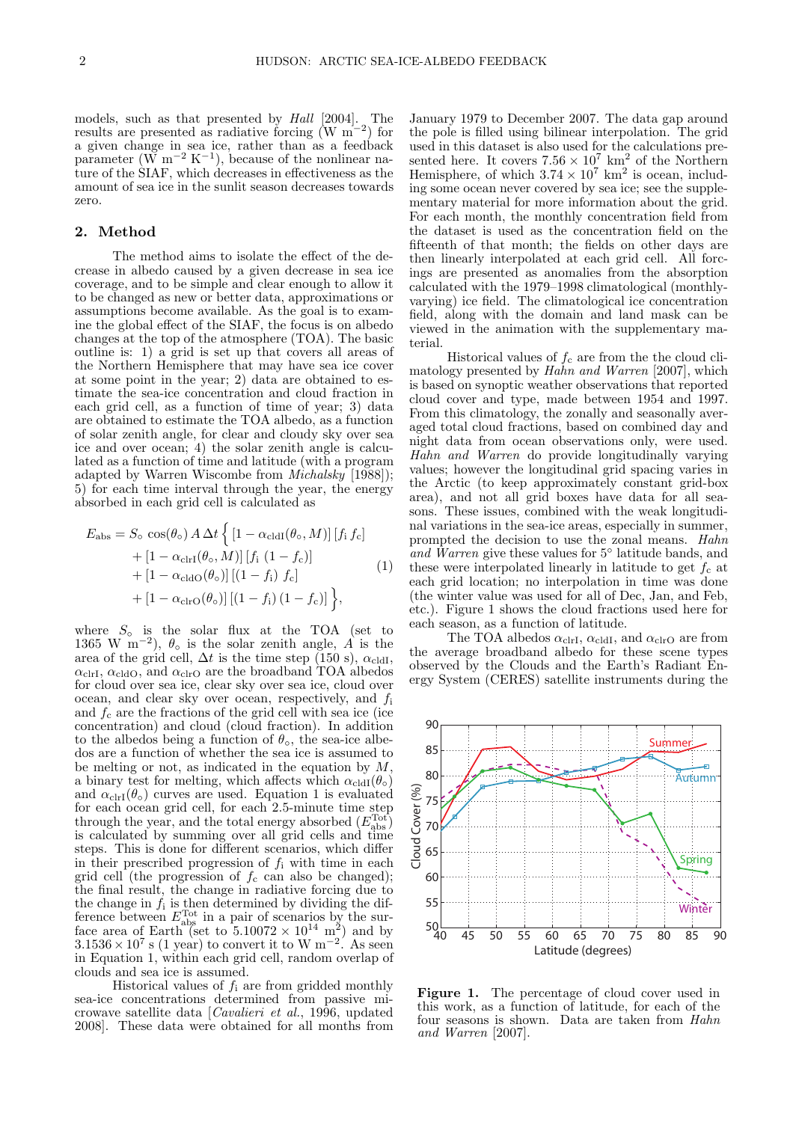models, such as that presented by *Hall* [2004]. The results are presented as radiative forcing (W m<sup>-2</sup>) for a given change in sea ice, rather than as a feedback parameter  $(W m^{-2} K^{-1})$ , because of the nonlinear nature of the SIAF, which decreases in effectiveness as the amount of sea ice in the sunlit season decreases towards zero.

# 2. Method

The method aims to isolate the effect of the decrease in albedo caused by a given decrease in sea ice coverage, and to be simple and clear enough to allow it to be changed as new or better data, approximations or assumptions become available. As the goal is to examine the global effect of the SIAF, the focus is on albedo changes at the top of the atmosphere (TOA). The basic outline is: 1) a grid is set up that covers all areas of the Northern Hemisphere that may have sea ice cover at some point in the year; 2) data are obtained to estimate the sea-ice concentration and cloud fraction in each grid cell, as a function of time of year; 3) data are obtained to estimate the TOA albedo, as a function of solar zenith angle, for clear and cloudy sky over sea ice and over ocean; 4) the solar zenith angle is calculated as a function of time and latitude (with a program adapted by Warren Wiscombe from Michalsky [1988]); 5) for each time interval through the year, the energy absorbed in each grid cell is calculated as

$$
E_{\rm abs} = S_{\rm o} \cos(\theta_{\rm o}) A \Delta t \left\{ \left[ 1 - \alpha_{\rm cldI}(\theta_{\rm o}, M) \right] \left[ f_{\rm i} f_{\rm c} \right] \right.+ \left[ 1 - \alpha_{\rm clrI}(\theta_{\rm o}, M) \right] \left[ f_{\rm i} \left( 1 - f_{\rm c} \right) \right]+ \left[ 1 - \alpha_{\rm cldO}(\theta_{\rm o}) \right] \left[ (1 - f_{\rm i}) f_{\rm c} \right]+ \left[ 1 - \alpha_{\rm clrO}(\theta_{\rm o}) \right] \left[ (1 - f_{\rm i}) \left( 1 - f_{\rm c} \right) \right] \right\},
$$
(1)

where  $S_{\circ}$  is the solar flux at the TOA (set to 1365 W m<sup>-2</sup>),  $\theta_0$  is the solar zenith angle, A is the area of the grid cell,  $\Delta t$  is the time step (150 s),  $\alpha_{\text{cldI}}$ ,  $\alpha_{\text{clrI}}, \alpha_{\text{cldO}},$  and  $\alpha_{\text{clrO}}$  are the broadband TOA albedos for cloud over sea ice, clear sky over sea ice, cloud over ocean, and clear sky over ocean, respectively, and  $f_i$ and  $f_c$  are the fractions of the grid cell with sea ice (ice concentration) and cloud (cloud fraction). In addition to the albedos being a function of  $\theta_{\rm o}$ , the sea-ice albedos are a function of whether the sea ice is assumed to be melting or not, as indicated in the equation by  $M$ , a binary test for melting, which affects which  $\alpha_{\text{cldI}}(\theta_{\text{o}})$ and  $\alpha_{\text{clrI}}(\theta_{\circ})$  curves are used. Equation 1 is evaluated for each ocean grid cell, for each 2.5-minute time step through the year, and the total energy absorbed  $(E_{\text{abs}}^{\text{Tot}})$ is calculated by summing over all grid cells and time steps. This is done for different scenarios, which differ in their prescribed progression of  $f_i$  with time in each grid cell (the progression of  $f_c$  can also be changed); the final result, the change in radiative forcing due to the change in  $f_i$  is then determined by dividing the difference between  $E_{\text{abs}}^{\text{Tot}}$  in a pair of scenarios by the surface area of Earth (set to  $5.10072 \times 10^{14}$  m<sup>2</sup>) and by  $3.1536 \times 10^7$  s (1 year) to convert it to W m<sup>-2</sup>. As seen in Equation 1, within each grid cell, random overlap of clouds and sea ice is assumed.

Historical values of  $f_i$  are from gridded monthly sea-ice concentrations determined from passive microwave satellite data [Cavalieri et al., 1996, updated 2008]. These data were obtained for all months from

January 1979 to December 2007. The data gap around the pole is filled using bilinear interpolation. The grid used in this dataset is also used for the calculations presented here. It covers  $7.56 \times 10^7$  km<sup>2</sup> of the Northern Hemisphere, of which  $3.74 \times 10^7$  km<sup>2</sup> is ocean, including some ocean never covered by sea ice; see the supplementary material for more information about the grid. For each month, the monthly concentration field from the dataset is used as the concentration field on the fifteenth of that month; the fields on other days are then linearly interpolated at each grid cell. All forcings are presented as anomalies from the absorption calculated with the 1979–1998 climatological (monthlyvarying) ice field. The climatological ice concentration field, along with the domain and land mask can be viewed in the animation with the supplementary material.

Historical values of  $f_c$  are from the the cloud climatology presented by Hahn and Warren [2007], which is based on synoptic weather observations that reported cloud cover and type, made between 1954 and 1997. From this climatology, the zonally and seasonally averaged total cloud fractions, based on combined day and night data from ocean observations only, were used. Hahn and Warren do provide longitudinally varying values; however the longitudinal grid spacing varies in the Arctic (to keep approximately constant grid-box area), and not all grid boxes have data for all seasons. These issues, combined with the weak longitudinal variations in the sea-ice areas, especially in summer, prompted the decision to use the zonal means. Hahn and Warren give these values for  $5°$  latitude bands, and these were interpolated linearly in latitude to get  $f_c$  at each grid location; no interpolation in time was done (the winter value was used for all of Dec, Jan, and Feb, etc.). Figure 1 shows the cloud fractions used here for each season, as a function of latitude.

The TOA albedos  $\alpha_{\text{clrI}}, \alpha_{\text{cldI}},$  and  $\alpha_{\text{clrO}}$  are from the average broadband albedo for these scene types observed by the Clouds and the Earth's Radiant Energy System (CERES) satellite instruments during the



Figure 1. The percentage of cloud cover used in this work, as a function of latitude, for each of the four seasons is shown. Data are taken from Hahn and Warren [2007].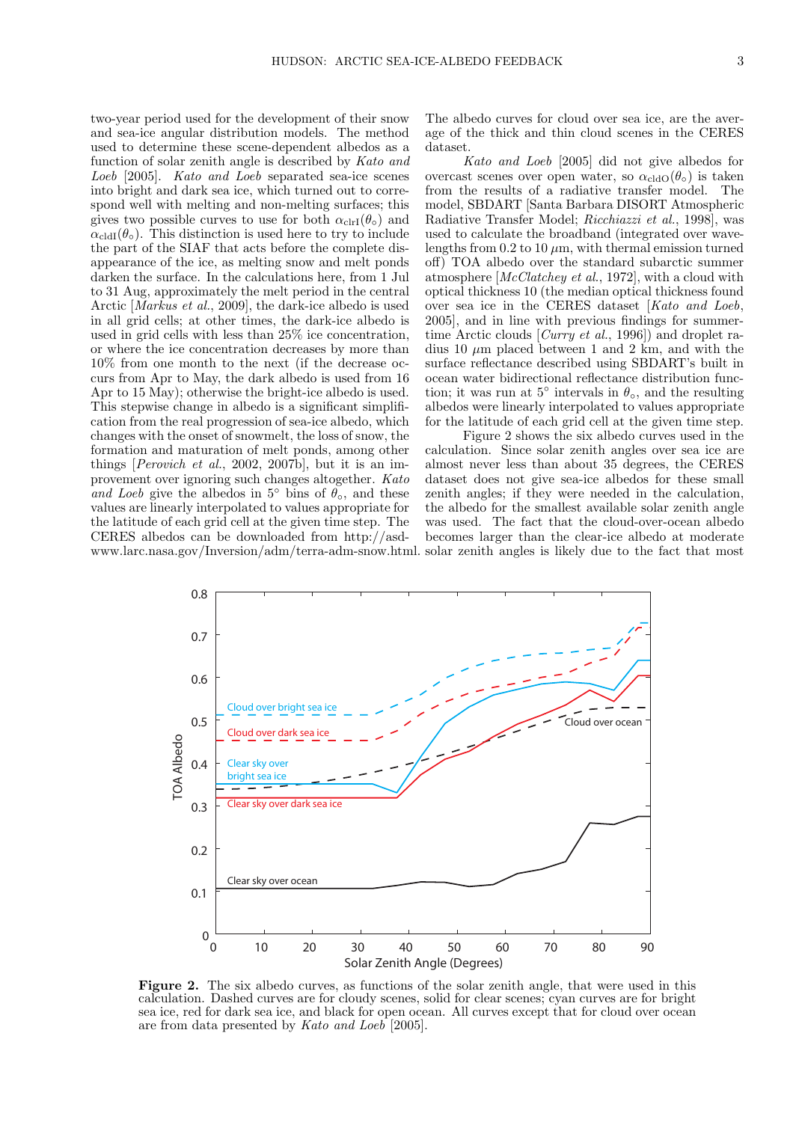two-year period used for the development of their snow and sea-ice angular distribution models. The method used to determine these scene-dependent albedos as a function of solar zenith angle is described by Kato and Loeb [2005]. Kato and Loeb separated sea-ice scenes into bright and dark sea ice, which turned out to correspond well with melting and non-melting surfaces; this gives two possible curves to use for both  $\alpha_{\text{clrI}}(\theta_{\text{o}})$  and  $\alpha_{\text{cldI}}(\theta_{\circ})$ . This distinction is used here to try to include the part of the SIAF that acts before the complete disappearance of the ice, as melting snow and melt ponds darken the surface. In the calculations here, from 1 Jul to 31 Aug, approximately the melt period in the central Arctic [Markus et al., 2009], the dark-ice albedo is used in all grid cells; at other times, the dark-ice albedo is used in grid cells with less than 25% ice concentration, or where the ice concentration decreases by more than 10% from one month to the next (if the decrease occurs from Apr to May, the dark albedo is used from 16 Apr to 15 May); otherwise the bright-ice albedo is used. This stepwise change in albedo is a significant simplification from the real progression of sea-ice albedo, which changes with the onset of snowmelt, the loss of snow, the formation and maturation of melt ponds, among other things [Perovich et al., 2002, 2007b], but it is an improvement over ignoring such changes altogether. Kato and Loeb give the albedos in 5<sup>°</sup> bins of  $\theta_{\rm o}$ , and these values are linearly interpolated to values appropriate for the latitude of each grid cell at the given time step. The CERES albedos can be downloaded from http://asdThe albedo curves for cloud over sea ice, are the average of the thick and thin cloud scenes in the CERES dataset.

Kato and Loeb [2005] did not give albedos for overcast scenes over open water, so  $\alpha_{\text{cldO}}(\theta_{\circ})$  is taken from the results of a radiative transfer model. The model, SBDART [Santa Barbara DISORT Atmospheric Radiative Transfer Model; Ricchiazzi et al., 1998], was used to calculate the broadband (integrated over wavelengths from  $0.2$  to  $10 \mu m$ , with thermal emission turned off) TOA albedo over the standard subarctic summer atmosphere [McClatchey et al., 1972], with a cloud with optical thickness 10 (the median optical thickness found over sea ice in the CERES dataset [Kato and Loeb, 2005], and in line with previous findings for summertime Arctic clouds [Curry et al., 1996]) and droplet radius 10  $\mu$ m placed between 1 and 2 km, and with the surface reflectance described using SBDART's built in ocean water bidirectional reflectance distribution function; it was run at  $5^{\circ}$  intervals in  $\theta_{\circ}$ , and the resulting albedos were linearly interpolated to values appropriate for the latitude of each grid cell at the given time step.

www.larc.nasa.gov/Inversion/adm/terra-adm-snow.html. solar zenith angles is likely due to the fact that most Figure 2 shows the six albedo curves used in the calculation. Since solar zenith angles over sea ice are almost never less than about 35 degrees, the CERES dataset does not give sea-ice albedos for these small zenith angles; if they were needed in the calculation, the albedo for the smallest available solar zenith angle was used. The fact that the cloud-over-ocean albedo becomes larger than the clear-ice albedo at moderate



Figure 2. The six albedo curves, as functions of the solar zenith angle, that were used in this calculation. Dashed curves are for cloudy scenes, solid for clear scenes; cyan curves are for bright sea ice, red for dark sea ice, and black for open ocean. All curves except that for cloud over ocean are from data presented by Kato and Loeb [2005].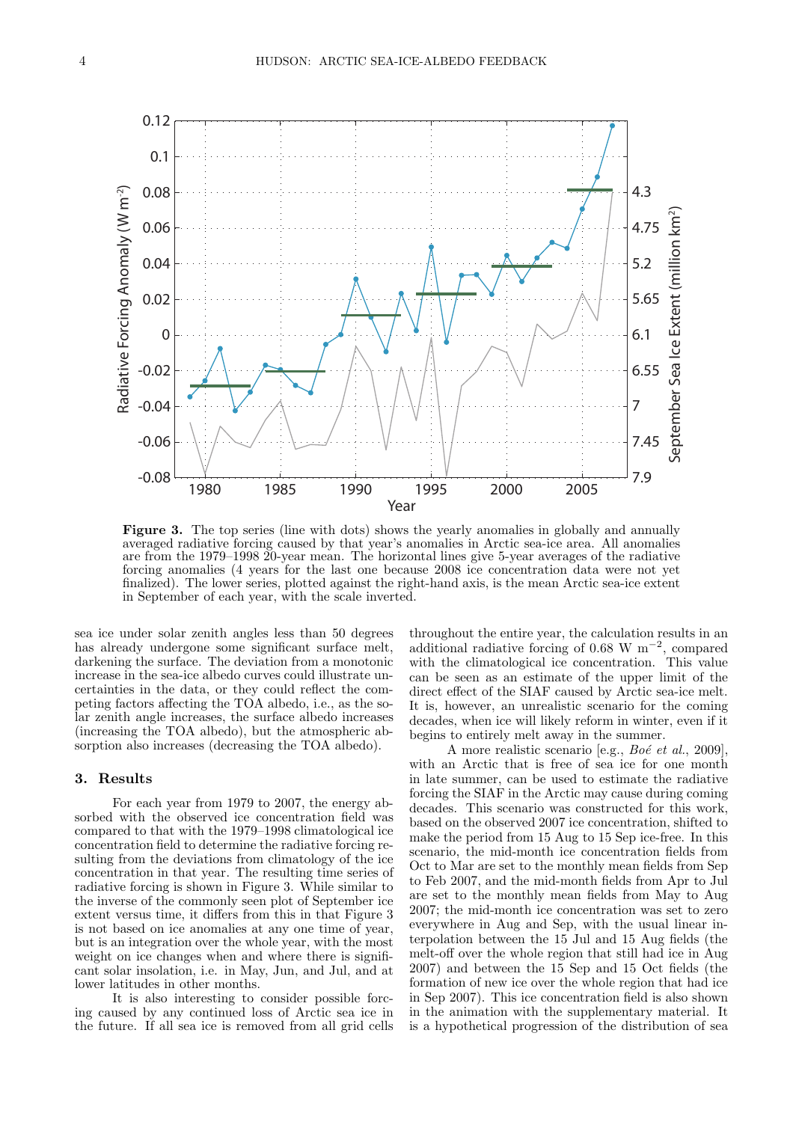

Figure 3. The top series (line with dots) shows the yearly anomalies in globally and annually averaged radiative forcing caused by that year's anomalies in Arctic sea-ice area. All anomalies are from the 1979–1998 20-year mean. The horizontal lines give 5-year averages of the radiative forcing anomalies (4 years for the last one because 2008 ice concentration data were not yet finalized). The lower series, plotted against the right-hand axis, is the mean Arctic sea-ice extent in September of each year, with the scale inverted.

sea ice under solar zenith angles less than 50 degrees has already undergone some significant surface melt, darkening the surface. The deviation from a monotonic increase in the sea-ice albedo curves could illustrate uncertainties in the data, or they could reflect the competing factors affecting the TOA albedo, i.e., as the solar zenith angle increases, the surface albedo increases (increasing the TOA albedo), but the atmospheric absorption also increases (decreasing the TOA albedo).

## 3. Results

For each year from 1979 to 2007, the energy absorbed with the observed ice concentration field was compared to that with the 1979–1998 climatological ice concentration field to determine the radiative forcing resulting from the deviations from climatology of the ice concentration in that year. The resulting time series of radiative forcing is shown in Figure 3. While similar to the inverse of the commonly seen plot of September ice extent versus time, it differs from this in that Figure 3 is not based on ice anomalies at any one time of year, but is an integration over the whole year, with the most weight on ice changes when and where there is significant solar insolation, i.e. in May, Jun, and Jul, and at lower latitudes in other months.

It is also interesting to consider possible forcing caused by any continued loss of Arctic sea ice in the future. If all sea ice is removed from all grid cells throughout the entire year, the calculation results in an additional radiative forcing of 0.68 W  $m^{-2}$ , compared with the climatological ice concentration. This value can be seen as an estimate of the upper limit of the direct effect of the SIAF caused by Arctic sea-ice melt. It is, however, an unrealistic scenario for the coming decades, when ice will likely reform in winter, even if it begins to entirely melt away in the summer.

A more realistic scenario [e.g.,  $Bo\acute{e}$  et al., 2009], with an Arctic that is free of sea ice for one month in late summer, can be used to estimate the radiative forcing the SIAF in the Arctic may cause during coming decades. This scenario was constructed for this work, based on the observed 2007 ice concentration, shifted to make the period from 15 Aug to 15 Sep ice-free. In this scenario, the mid-month ice concentration fields from Oct to Mar are set to the monthly mean fields from Sep to Feb 2007, and the mid-month fields from Apr to Jul are set to the monthly mean fields from May to Aug 2007; the mid-month ice concentration was set to zero everywhere in Aug and Sep, with the usual linear interpolation between the 15 Jul and 15 Aug fields (the melt-off over the whole region that still had ice in Aug 2007) and between the 15 Sep and 15 Oct fields (the formation of new ice over the whole region that had ice in Sep 2007). This ice concentration field is also shown in the animation with the supplementary material. It is a hypothetical progression of the distribution of sea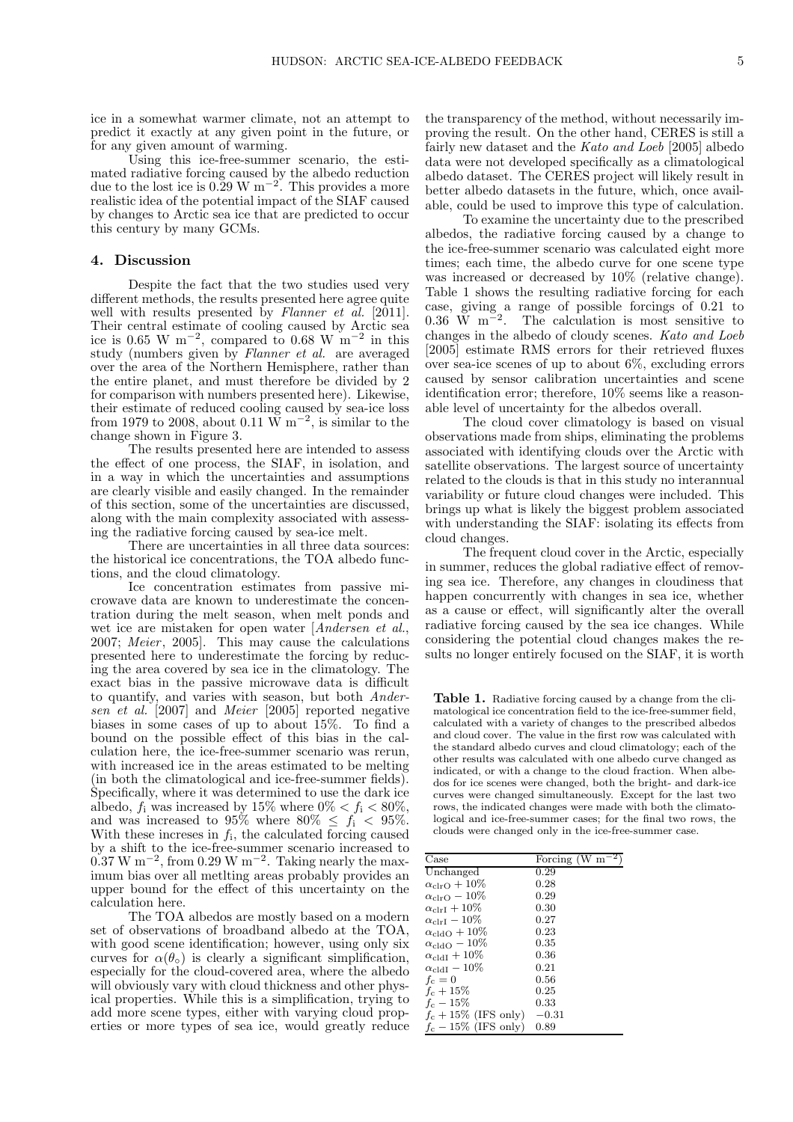ice in a somewhat warmer climate, not an attempt to predict it exactly at any given point in the future, or for any given amount of warming.

Using this ice-free-summer scenario, the estimated radiative forcing caused by the albedo reduction due to the lost ice is  $0.29 \text{ W m}^{-2}$ . This provides a more realistic idea of the potential impact of the SIAF caused by changes to Arctic sea ice that are predicted to occur this century by many GCMs.

### 4. Discussion

Despite the fact that the two studies used very different methods, the results presented here agree quite well with results presented by Flanner et al. [2011]. Their central estimate of cooling caused by Arctic sea ice is 0.65 W m<sup>-2</sup>, compared to 0.68 W m<sup>-2</sup> in this study (numbers given by Flanner et al. are averaged over the area of the Northern Hemisphere, rather than the entire planet, and must therefore be divided by 2 for comparison with numbers presented here). Likewise, their estimate of reduced cooling caused by sea-ice loss from 1979 to 2008, about 0.11 W m<sup>-2</sup>, is similar to the change shown in Figure 3.

The results presented here are intended to assess the effect of one process, the SIAF, in isolation, and in a way in which the uncertainties and assumptions are clearly visible and easily changed. In the remainder of this section, some of the uncertainties are discussed, along with the main complexity associated with assessing the radiative forcing caused by sea-ice melt.

There are uncertainties in all three data sources: the historical ice concentrations, the TOA albedo functions, and the cloud climatology.

Ice concentration estimates from passive microwave data are known to underestimate the concentration during the melt season, when melt ponds and wet ice are mistaken for open water [Andersen et al.,  $2007$ ; Meier,  $2005$ . This may cause the calculations presented here to underestimate the forcing by reducing the area covered by sea ice in the climatology. The exact bias in the passive microwave data is difficult to quantify, and varies with season, but both Andersen et al. [2007] and Meier [2005] reported negative biases in some cases of up to about 15%. To find a bound on the possible effect of this bias in the calculation here, the ice-free-summer scenario was rerun, with increased ice in the areas estimated to be melting (in both the climatological and ice-free-summer fields). Specifically, where it was determined to use the dark ice albedo,  $f_i$  was increased by 15% where  $0\% < f_i < 80\%$ , and was increased to 95% where  $80\% \leq f_i < 95\%$ . With these incresses in  $f_i$ , the calculated forcing caused by a shift to the ice-free-summer scenario increased to  $0.37 \text{ W m}^{-2}$ , from 0.29 W m<sup>-2</sup>. Taking nearly the maximum bias over all metlting areas probably provides an upper bound for the effect of this uncertainty on the calculation here.

The TOA albedos are mostly based on a modern set of observations of broadband albedo at the TOA, with good scene identification; however, using only six curves for  $\alpha(\theta_0)$  is clearly a significant simplification, especially for the cloud-covered area, where the albedo will obviously vary with cloud thickness and other physical properties. While this is a simplification, trying to add more scene types, either with varying cloud properties or more types of sea ice, would greatly reduce the transparency of the method, without necessarily improving the result. On the other hand, CERES is still a fairly new dataset and the Kato and Loeb [2005] albedo data were not developed specifically as a climatological albedo dataset. The CERES project will likely result in better albedo datasets in the future, which, once available, could be used to improve this type of calculation.

To examine the uncertainty due to the prescribed albedos, the radiative forcing caused by a change to the ice-free-summer scenario was calculated eight more times; each time, the albedo curve for one scene type was increased or decreased by 10% (relative change). Table 1 shows the resulting radiative forcing for each case, giving a range of possible forcings of 0.21 to 0.36 W  $\mathrm{m}^{-2}$ . The calculation is most sensitive to changes in the albedo of cloudy scenes. Kato and Loeb [2005] estimate RMS errors for their retrieved fluxes over sea-ice scenes of up to about 6%, excluding errors caused by sensor calibration uncertainties and scene identification error; therefore, 10% seems like a reasonable level of uncertainty for the albedos overall.

The cloud cover climatology is based on visual observations made from ships, eliminating the problems associated with identifying clouds over the Arctic with satellite observations. The largest source of uncertainty related to the clouds is that in this study no interannual variability or future cloud changes were included. This brings up what is likely the biggest problem associated with understanding the SIAF: isolating its effects from cloud changes.

The frequent cloud cover in the Arctic, especially in summer, reduces the global radiative effect of removing sea ice. Therefore, any changes in cloudiness that happen concurrently with changes in sea ice, whether as a cause or effect, will significantly alter the overall radiative forcing caused by the sea ice changes. While considering the potential cloud changes makes the results no longer entirely focused on the SIAF, it is worth

Table 1. Radiative forcing caused by a change from the climatological ice concentration field to the ice-free-summer field, calculated with a variety of changes to the prescribed albedos and cloud cover. The value in the first row was calculated with the standard albedo curves and cloud climatology; each of the other results was calculated with one albedo curve changed as indicated, or with a change to the cloud fraction. When albedos for ice scenes were changed, both the bright- and dark-ice curves were changed simultaneously. Except for the last two rows, the indicated changes were made with both the climatological and ice-free-summer cases; for the final two rows, the clouds were changed only in the ice-free-summer case.

| Case                          | Forcing (W $m^{-2}$ ) |
|-------------------------------|-----------------------|
| Unchanged                     | 0.29                  |
| $\alpha_{\rm clrO}+10\%$      | 0.28                  |
| $\alpha_{\rm clrO} - 10\%$    | 0.29                  |
| $\alpha_{\rm{clrI}} + 10\%$   | 0.30                  |
| $\alpha_{\rm{clrI}} - 10\%$   | 0.27                  |
| $\alpha_{\rm cldO}+10\%$      | 0.23                  |
| $\alpha_{\rm cldO} - 10\%$    | 0.35                  |
| $\alpha_{\text{cldI}} + 10\%$ | 0.36                  |
| $\alpha_{\text{cldJ}} - 10\%$ | 0.21                  |
| $f_c=0$                       | 0.56                  |
| $f_c + 15\%$                  | 0.25                  |
| $f_c - 15\%$                  | 0.33                  |
| $f_c + 15\%$ (IFS only)       | $-0.31$               |
| $f_c - 15\%$ (IFS only)       | 0.89                  |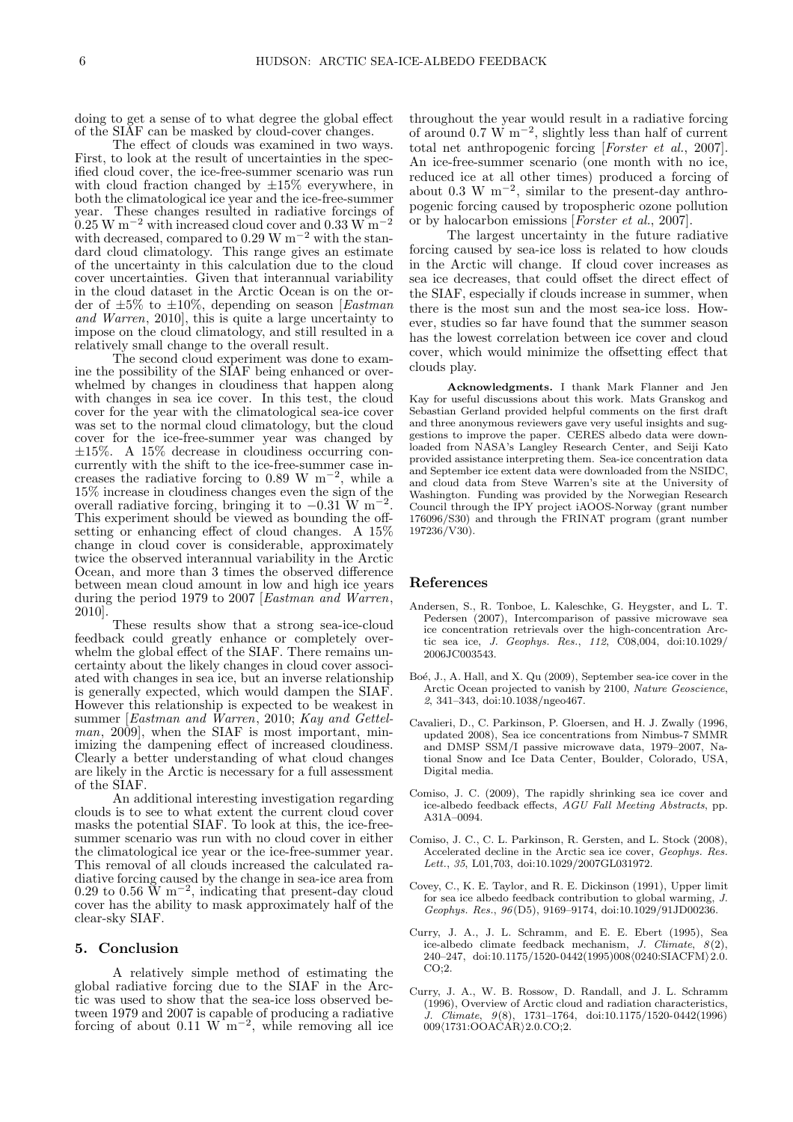doing to get a sense of to what degree the global effect of the SIAF can be masked by cloud-cover changes.

The effect of clouds was examined in two ways. First, to look at the result of uncertainties in the specified cloud cover, the ice-free-summer scenario was run with cloud fraction changed by  $\pm 15\%$  everywhere, in both the climatological ice year and the ice-free-summer year. These changes resulted in radiative forcings of  $0.25 \text{ W m}^{-2}$  with increased cloud cover and  $0.33 \text{ W m}^{-2}$ with decreased, compared to  $0.29 \text{ W m}^{-2}$  with the standard cloud climatology. This range gives an estimate of the uncertainty in this calculation due to the cloud cover uncertainties. Given that interannual variability in the cloud dataset in the Arctic Ocean is on the order of  $\pm 5\%$  to  $\pm 10\%$ , depending on season [*Eastman* and Warren, 2010], this is quite a large uncertainty to impose on the cloud climatology, and still resulted in a relatively small change to the overall result.

The second cloud experiment was done to examine the possibility of the SIAF being enhanced or overwhelmed by changes in cloudiness that happen along with changes in sea ice cover. In this test, the cloud cover for the year with the climatological sea-ice cover was set to the normal cloud climatology, but the cloud cover for the ice-free-summer year was changed by ±15%. A 15% decrease in cloudiness occurring concurrently with the shift to the ice-free-summer case increases the radiative forcing to 0.89 W  $\mathrm{m}^{-2}$ , while a 15% increase in cloudiness changes even the sign of the overall radiative forcing, bringing it to  $-0.31$  W m<sup>-2</sup>. This experiment should be viewed as bounding the offsetting or enhancing effect of cloud changes. A 15% change in cloud cover is considerable, approximately twice the observed interannual variability in the Arctic Ocean, and more than 3 times the observed difference between mean cloud amount in low and high ice years during the period 1979 to 2007 [Eastman and Warren, 2010].

These results show that a strong sea-ice-cloud feedback could greatly enhance or completely overwhelm the global effect of the SIAF. There remains uncertainty about the likely changes in cloud cover associated with changes in sea ice, but an inverse relationship is generally expected, which would dampen the SIAF. However this relationship is expected to be weakest in summer [Eastman and Warren, 2010; Kay and Gettel*man*,  $2009$ , when the SIAF is most important, minimizing the dampening effect of increased cloudiness. Clearly a better understanding of what cloud changes are likely in the Arctic is necessary for a full assessment of the SIAF.

An additional interesting investigation regarding clouds is to see to what extent the current cloud cover masks the potential SIAF. To look at this, the ice-freesummer scenario was run with no cloud cover in either the climatological ice year or the ice-free-summer year. This removal of all clouds increased the calculated radiative forcing caused by the change in sea-ice area from  $0.29$  to  $0.56$  W m<sup>-2</sup>, indicating that present-day cloud cover has the ability to mask approximately half of the clear-sky SIAF.

### 5. Conclusion

A relatively simple method of estimating the global radiative forcing due to the SIAF in the Arctic was used to show that the sea-ice loss observed between 1979 and 2007 is capable of producing a radiative forcing of about  $0.11 \text{ W m}^{-2}$ , while removing all ice

throughout the year would result in a radiative forcing of around 0.7 W m<sup>-2</sup>, slightly less than half of current total net anthropogenic forcing [Forster et al., 2007]. An ice-free-summer scenario (one month with no ice, reduced ice at all other times) produced a forcing of about 0.3 W  $m^{-2}$ , similar to the present-day anthropogenic forcing caused by tropospheric ozone pollution or by halocarbon emissions [Forster et al., 2007].

The largest uncertainty in the future radiative forcing caused by sea-ice loss is related to how clouds in the Arctic will change. If cloud cover increases as sea ice decreases, that could offset the direct effect of the SIAF, especially if clouds increase in summer, when there is the most sun and the most sea-ice loss. However, studies so far have found that the summer season has the lowest correlation between ice cover and cloud cover, which would minimize the offsetting effect that clouds play.

Acknowledgments. I thank Mark Flanner and Jen Kay for useful discussions about this work. Mats Granskog and Sebastian Gerland provided helpful comments on the first draft and three anonymous reviewers gave very useful insights and suggestions to improve the paper. CERES albedo data were downloaded from NASA's Langley Research Center, and Seiji Kato provided assistance interpreting them. Sea-ice concentration data and September ice extent data were downloaded from the NSIDC, and cloud data from Steve Warren's site at the University of Washington. Funding was provided by the Norwegian Research Council through the IPY project iAOOS-Norway (grant number 176096/S30) and through the FRINAT program (grant number 197236/V30).

#### References

- Andersen, S., R. Tonboe, L. Kaleschke, G. Heygster, and L. T. Pedersen (2007), Intercomparison of passive microwave sea ice concentration retrievals over the high-concentration Arctic sea ice, *J. Geophys. Res.*, *112*, C08,004, doi:10.1029/ 2006JC003543.
- Boé, J., A. Hall, and X. Qu (2009), September sea-ice cover in the Arctic Ocean projected to vanish by 2100, *Nature Geoscience*, *2*, 341–343, doi:10.1038/ngeo467.
- Cavalieri, D., C. Parkinson, P. Gloersen, and H. J. Zwally (1996, updated 2008), Sea ice concentrations from Nimbus-7 SMMR and DMSP SSM/I passive microwave data, 1979–2007, National Snow and Ice Data Center, Boulder, Colorado, USA, Digital media.
- Comiso, J. C. (2009), The rapidly shrinking sea ice cover and ice-albedo feedback effects, *AGU Fall Meeting Abstracts*, pp. A31A–0094.
- Comiso, J. C., C. L. Parkinson, R. Gersten, and L. Stock (2008), Accelerated decline in the Arctic sea ice cover, *Geophys. Res. Lett.*, *35*, L01,703, doi:10.1029/2007GL031972.
- Covey, C., K. E. Taylor, and R. E. Dickinson (1991), Upper limit for sea ice albedo feedback contribution to global warming, *J. Geophys. Res.*, *96*(D5), 9169–9174, doi:10.1029/91JD00236.
- Curry, J. A., J. L. Schramm, and E. E. Ebert (1995), Sea ice-albedo climate feedback mechanism, *J. Climate*, *8*(2), 240–247, doi:10.1175/1520-0442(1995)008 $(0240:SIACFM)$ 2.0.  $CO:2.$
- Curry, J. A., W. B. Rossow, D. Randall, and J. L. Schramm (1996), Overview of Arctic cloud and radiation characteristics, *J. Climate*, *9*(8), 1731–1764, doi:10.1175/1520-0442(1996) 009\1731:OOACAR\\frac.org.2.